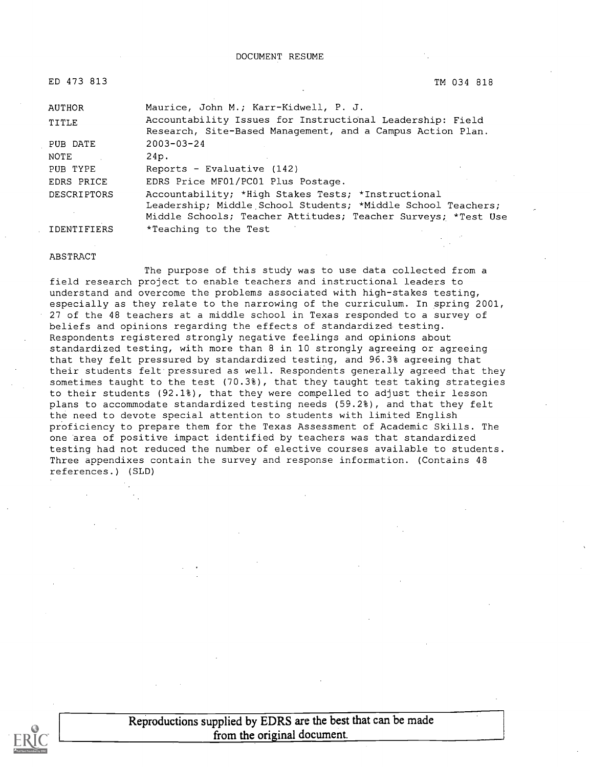DOCUMENT RESUME

| ED 473 813         | TM 034 818                                                                                                              |
|--------------------|-------------------------------------------------------------------------------------------------------------------------|
| AUTHOR             | Maurice, John M.; Karr-Kidwell, P. J.                                                                                   |
| TITLE              | Accountability Issues for Instructional Leadership: Field<br>Research, Site-Based Management, and a Campus Action Plan. |
| PUB DATE           | $2003 - 03 - 24$                                                                                                        |
| NOTE               | 24p.                                                                                                                    |
| PUB TYPE           | Reports - Evaluative (142)                                                                                              |
| EDRS PRICE         | EDRS Price MF01/PC01 Plus Postage.                                                                                      |
| <b>DESCRIPTORS</b> | Accountability; *High Stakes Tests; *Instructional                                                                      |
|                    | Leadership; Middle School Students; *Middle School Teachers;                                                            |
|                    | Middle Schools; Teacher Attitudes; Teacher Surveys; *Test Use                                                           |
| IDENTIFIERS        | *Teaching to the Test                                                                                                   |

#### ABSTRACT

The purpose of this study was to use data collected from a field research project to enable teachers and instructional leaders to understand and overcome the problems associated with high-stakes testing, especially as they relate to the narrowing of the curriculum. In spring 2001, 27 of the 48 teachers at a middle school in Texas responded to a survey of beliefs and opinions regarding the effects of standardized testing. Respondents registered strongly negative feelings and opinions about standardized testing, with more than 8 in 10 strongly agreeing or agreeing that they felt pressured by standardized testing, and 96.3% agreeing that their students felt pressured as well. Respondents generally agreed that they sometimes taught to the test (70.3%), that they taught test taking strategies to their students (92.1%), that they were compelled to adjust their lesson plans to accommodate standardized testing needs (59.2%), and that they felt the need to devote special attention to students with limited English proficiency to prepare them for the Texas Assessment of Academic Skills. The one area of positive impact identified by teachers was that standardized testing had not reduced the number of elective courses available to students. Three appendixes contain the survey and response information. (Contains 48 references.) (SLD)



Reproductions supplied by EDRS are the best that can be made from the original document.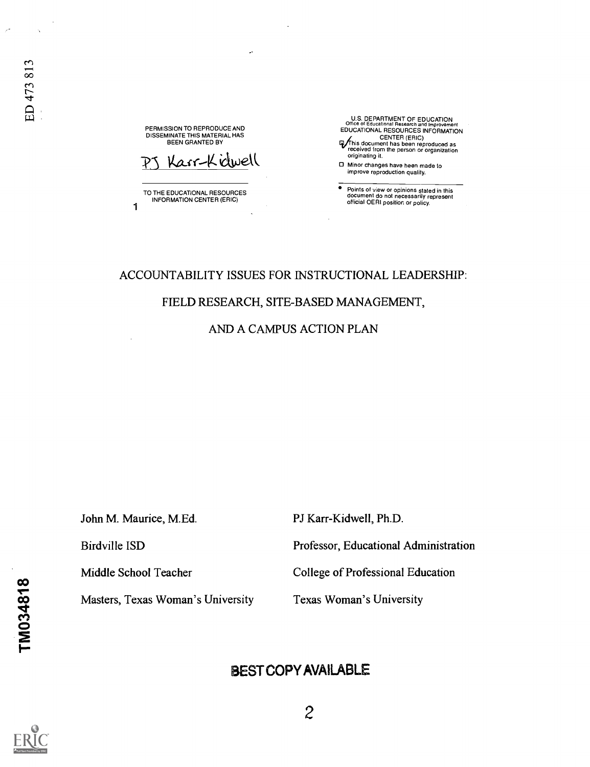PERMISSION TO REPRODUCE AND DISSEMINATE THIS MATERIAL HAS BEEN GRANTED BY

Kasr-Kidwell

TO THE EDUCATIONAL RESOURCES INFORMATION CENTER (ERIC) 1

U.S. DEPARTMENT OF EDUCATION Office of Educational Research and Improvement EDUCATIONAL RESOURCES INFORMATION

- CENTER (ERIC) Vhis document has been reproduced as received from the person or organization originating it.
- 0 Minor changes have been made to improve reproduction quality.

Points of view or opinions stated in this document do not necessarily represent official OERI position or policy.

### ACCOUNTABILITY ISSUES FOR INSTRUCTIONAL LEADERSHIP:

### FIELD RESEARCH, SITE-BASED MANAGEMENT,

AND A CAMPUS ACTION PLAN

John M. Maurice, M.Ed. PJ Karr-Kidwell, Ph.D.

Birdville ISD Professor, Educational Administration

Middle School Teacher College of Professional Education

Masters, Texas Woman's University Texas Woman's University

## BEST COPY AVAILABLE

 $\infty$  and  $\infty$ 

<u>o</u>  $\mathbf{Z}$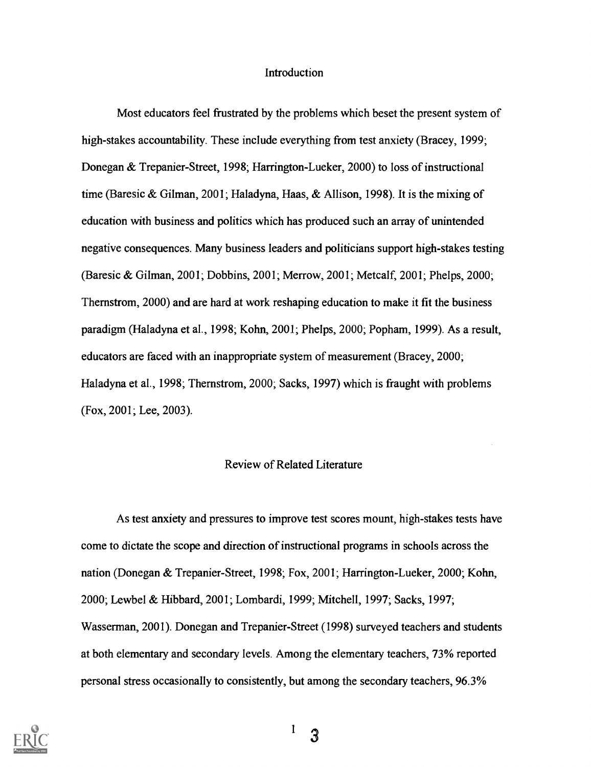#### Introduction

Most educators feel frustrated by the problems which beset the present system of high-stakes accountability. These include everything from test anxiety (Bracey, 1999; Donegan & Trepanier-Street, 1998; Harrington-Lueker, 2000) to loss of instructional time (Baresic & Gilman, 2001; Haladyna, Haas, & Allison, 1998). It is the mixing of education with business and politics which has produced such an array of unintended negative consequences. Many business leaders and politicians support high-stakes testing (Baresic & Gilman, 2001; Dobbins, 2001; Merrow, 2001; Metcalf, 2001; Phelps, 2000; Thernstrom, 2000) and are hard at work reshaping education to make it fit the business paradigm (Haladyna et al., 1998; Kohn, 2001; Phelps, 2000; Popham, 1999). As a result, educators are faced with an inappropriate system of measurement (Bracey, 2000; Haladyna et al., 1998; Thernstrom, 2000; Sacks, 1997) which is fraught with problems (Fox, 2001; Lee, 2003).

### Review of Related Literature

As test anxiety and pressures to improve test scores mount, high-stakes tests have come to dictate the scope and direction of instructional programs in schools across the nation (Donegan & Trepanier-Street, 1998; Fox, 2001; Harrington-Lueker, 2000; Kohn, 2000; Lewbel & Hibbard, 2001; Lombardi, 1999; Mitchell, 1997; Sacks, 1997; Wasserman, 2001). Donegan and Trepanier-Street (1998) surveyed teachers and students at both elementary and secondary levels. Among the elementary teachers, 73% reported personal stress occasionally to consistently, but among the secondary teachers, 96.3%



 $^{1}$  3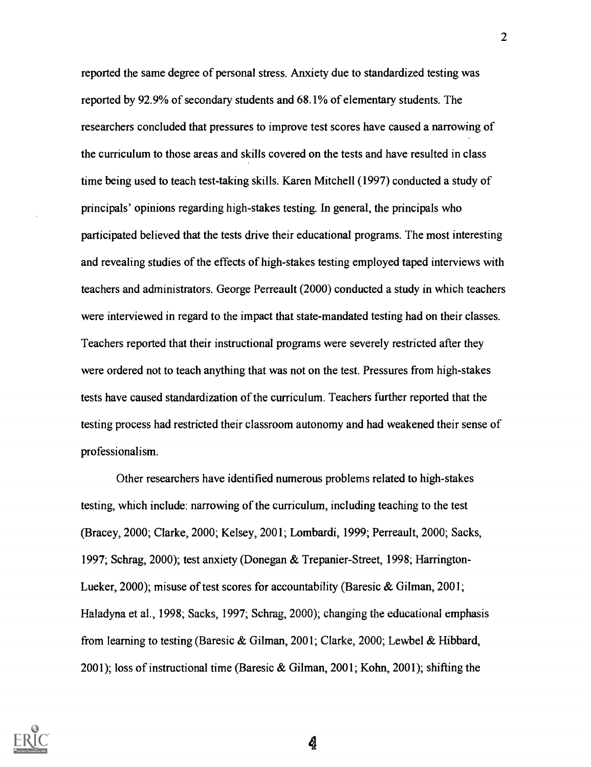reported the same degree of personal stress. Anxiety due to standardized testing was reported by 92.9% of secondary students and 68.1% of elementary students. The researchers concluded that pressures to improve test scores have caused a narrowing of the curriculum to those areas and skills covered on the tests and have resulted in class time being used to teach test-taking skills. Karen Mitchell (1997) conducted a study of principals' opinions regarding high-stakes testing. In general, the principals who participated believed that the tests drive their educational programs. The most interesting and revealing studies of the effects of high-stakes testing employed taped interviews with teachers and administrators. George Perreault (2000) conducted a study in which teachers were interviewed in regard to the impact that state-mandated testing had on their classes. Teachers reported that their instructional programs were severely restricted after they were ordered not to teach anything that was not on the test. Pressures from high-stakes tests have caused standardization of the curriculum. Teachers further reported that the testing process had restricted their classroom autonomy and had weakened their sense of professionalism.

Other researchers have identified numerous problems related to high-stakes testing, which include: narrowing of the curriculum, including teaching to the test (Bracey, 2000; Clarke, 2000; Kelsey, 2001; Lombardi, 1999; Perreault, 2000; Sacks, 1997; Schrag, 2000); test anxiety (Donegan & Trepanier-Street, 1998; Harrington-Lueker, 2000); misuse of test scores for accountability (Baresic & Gilman, 2001; Haladyna et al., 1998; Sacks, 1997; Schrag, 2000); changing the educational emphasis from learning to testing (Baresic & Gilman, 2001; Clarke, 2000; Lewbel & Hibbard, 2001); loss of instructional time (Baresic & Gilman, 2001; Kohn, 2001); shifting the

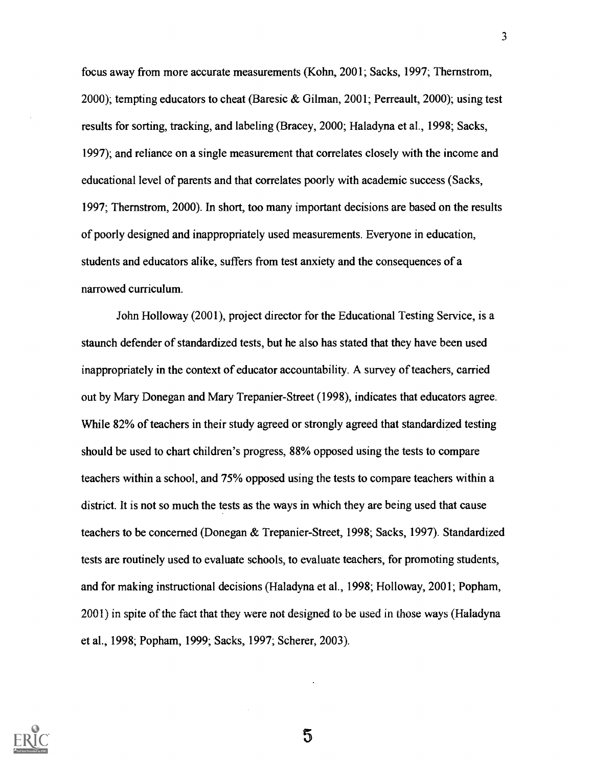focus away from more accurate measurements (Kohn, 2001; Sacks, 1997; Thernstrom, 2000); tempting educators to cheat (Baresic & Gilman, 2001; Perreault, 2000); using test results for sorting, tracking, and labeling (Bracey, 2000; Haladyna et al., 1998; Sacks, 1997); and reliance on a single measurement that correlates closely with the income and educational level of parents and that correlates poorly with academic success (Sacks, 1997; Thernstrom, 2000). In short, too many important decisions are based on the results of poorly designed and inappropriately used measurements. Everyone in education, students and educators alike, suffers from test anxiety and the consequences of a narrowed curriculum.

John Holloway (2001), project director for the Educational Testing Service, is a staunch defender of standardized tests, but he also has stated that they have been used inappropriately in the context of educator accountability. A survey of teachers, carried out by Mary Donegan and Mary Trepanier-Street (1998), indicates that educators agree. While 82% of teachers in their study agreed or strongly agreed that standardized testing should be used to chart children's progress, 88% opposed using the tests to compare teachers within a school, and 75% opposed using the tests to compare teachers within a district. It is not so much the tests as the ways in which they are being used that cause teachers to be concerned (Donegan & Trepanier-Street, 1998; Sacks, 1997). Standardized tests are routinely used to evaluate schools, to evaluate teachers, for promoting students, and for making instructional decisions (Haladyna et al., 1998; Holloway, 2001; Popham, 2001) in spite of the fact that they were not designed to be used in those ways (Haladyna et al., 1998; Popham, 1999; Sacks, 1997; Scherer, 2003).

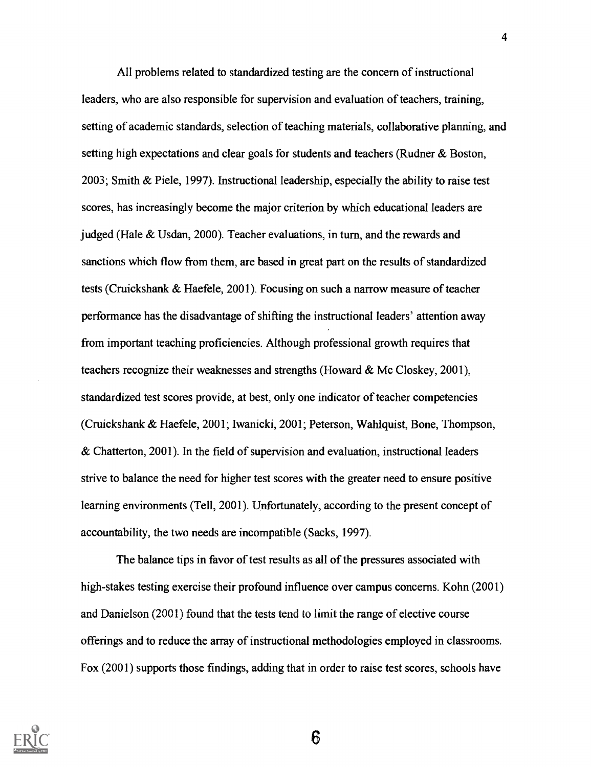All problems related to standardized testing are the concern of instructional leaders, who are also responsible for supervision and evaluation of teachers, training, setting of academic standards, selection of teaching materials, collaborative planning, and setting high expectations and clear goals for students and teachers (Rudner & Boston, 2003; Smith & Piele, 1997). Instructional leadership, especially the ability to raise test scores, has increasingly become the major criterion by which educational leaders are judged (Hale & Usdan, 2000). Teacher evaluations, in turn, and the rewards and sanctions which flow from them, are based in great part on the results of standardized tests (Cruickshank & Haefele, 2001). Focusing on such a narrow measure of teacher performance has the disadvantage of shifting the instructional leaders' attention away from important teaching proficiencies. Although professional growth requires that teachers recognize their weaknesses and strengths (Howard & Mc Closkey, 2001), standardized test scores provide, at best, only one indicator of teacher competencies (Cruickshank & Haefele, 2001; Iwanicki, 2001; Peterson, Wahlquist, Bone, Thompson, & Chatterton, 2001). In the field of supervision and evaluation, instructional leaders strive to balance the need for higher test scores with the greater need to ensure positive learning environments (Tell, 2001). Unfortunately, according to the present concept of accountability, the two needs are incompatible (Sacks, 1997).

The balance tips in favor of test results as all of the pressures associated with high-stakes testing exercise their profound influence over campus concerns. Kohn (2001) and Danielson (2001) found that the tests tend to limit the range of elective course offerings and to reduce the array of instructional methodologies employed in classrooms. Fox (2001) supports those findings, adding that in order to raise test scores, schools have



4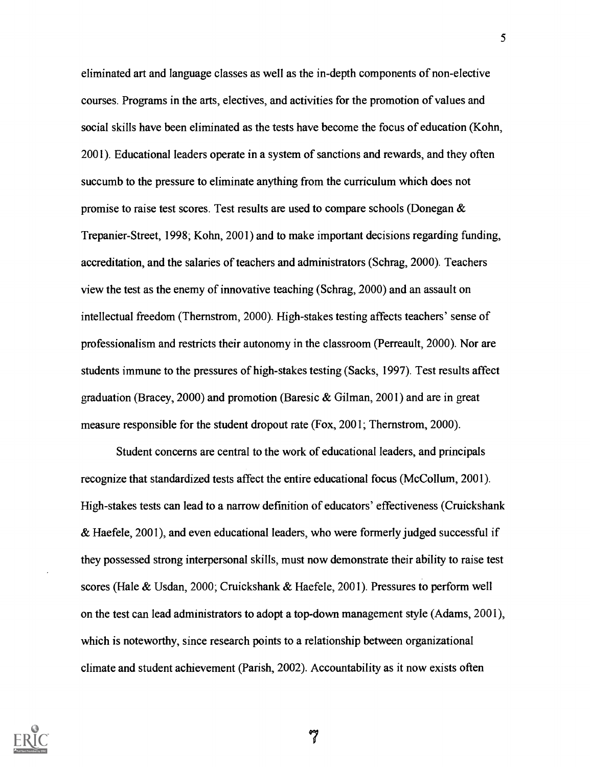eliminated art and language classes as well as the in-depth components of non-elective courses. Programs in the arts, electives, and activities for the promotion of values and social skills have been eliminated as the tests have become the focus of education (Kohn, 2001). Educational leaders operate in a system of sanctions and rewards, and they often succumb to the pressure to eliminate anything from the curriculum which does not promise to raise test scores. Test results are used to compare schools (Donegan & Trepanier-Street, 1998; Kohn, 2001) and to make important decisions regarding funding, accreditation, and the salaries of teachers and administrators (Schrag, 2000). Teachers view the test as the enemy of innovative teaching (Schrag, 2000) and an assault on intellectual freedom (Thernstrom, 2000). High-stakes testing affects teachers' sense of professionalism and restricts their autonomy in the classroom (Perreault, 2000). Nor are students immune to the pressures of high-stakes testing (Sacks, 1997). Test results affect graduation (Bracey, 2000) and promotion (Baresic & Gilman, 2001) and are in great measure responsible for the student dropout rate (Fox, 2001; Thernstrom, 2000).

Student concerns are central to the work of educational leaders, and principals recognize that standardized tests affect the entire educational focus (McCollum, 2001). High-stakes tests can lead to a narrow definition of educators' effectiveness (Cruickshank & Haefele, 2001), and even educational leaders, who were formerly judged successful if they possessed strong interpersonal skills, must now demonstrate their ability to raise test scores (Hale & Usdan, 2000; Cruickshank & Haefele, 2001). Pressures to perform well on the test can lead administrators to adopt a top-down management style (Adams, 2001), which is noteworthy, since research points to a relationship between organizational climate and student achievement (Parish, 2002). Accountability as it now exists often

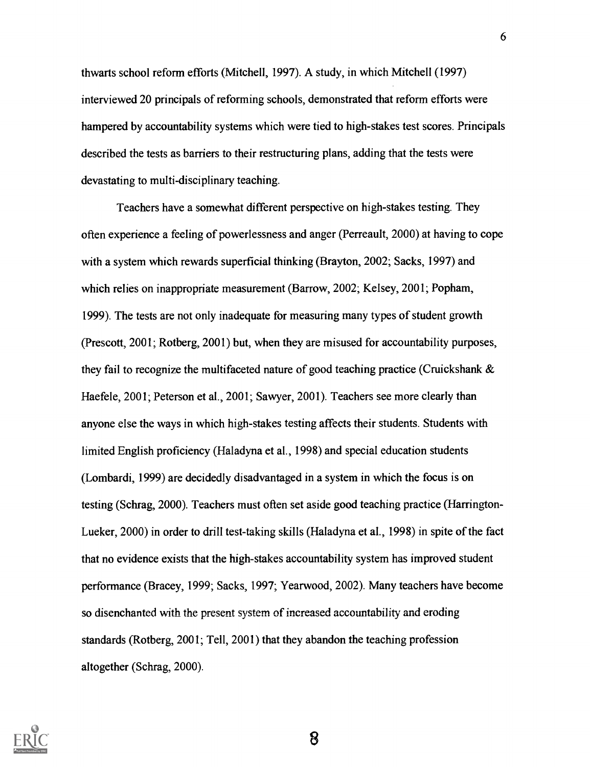thwarts school reform efforts (Mitchell, 1997). A study, in which Mitchell (1997) interviewed 20 principals of reforming schools, demonstrated that reform efforts were hampered by accountability systems which were tied to high-stakes test scores. Principals described the tests as barriers to their restructuring plans, adding that the tests were devastating to multi-disciplinary teaching.

Teachers have a somewhat different perspective on high-stakes testing. They often experience a feeling of powerlessness and anger (Perreault, 2000) at having to cope with a system which rewards superficial thinking (Brayton, 2002; Sacks, 1997) and which relies on inappropriate measurement (Barrow, 2002; Kelsey, 2001; Popham, 1999). The tests are not only inadequate for measuring many types of student growth (Prescott, 2001; Rotberg, 2001) but, when they are misused for accountability purposes, they fail to recognize the multifaceted nature of good teaching practice (Cruickshank & Haefele, 2001; Peterson et al., 2001; Sawyer, 2001). Teachers see more clearly than anyone else the ways in which high-stakes testing affects their students. Students with limited English proficiency (Haladyna et al., 1998) and special education students (Lombardi, 1999) are decidedly disadvantaged in a system in which the focus is on testing (Schrag, 2000). Teachers must often set aside good teaching practice (Harrington-Lueker, 2000) in order to drill test-taking skills (Haladyna et al., 1998) in spite of the fact that no evidence exists that the high-stakes accountability system has improved student performance (Bracey, 1999; Sacks, 1997; Yearwood, 2002). Many teachers have become so disenchanted with the present system of increased accountability and eroding standards (Rotberg, 2001; Tell, 2001) that they abandon the teaching profession altogether (Schrag, 2000).

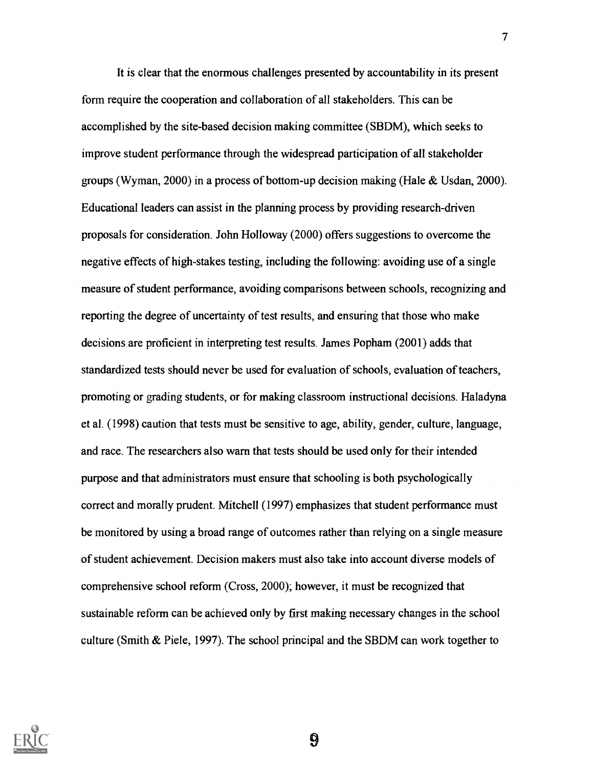It is clear that the enormous challenges presented by accountability in its present form require the cooperation and collaboration of all stakeholders. This can be accomplished by the site-based decision making committee (SBDM), which seeks to improve student performance through the widespread participation of all stakeholder groups (Wyman, 2000) in a process of bottom-up decision making (Hale & Usdan, 2000). Educational leaders can assist in the planning process by providing research-driven proposals for consideration. John Holloway (2000) offers suggestions to overcome the negative effects of high-stakes testing, including the following: avoiding use of a single measure of student performance, avoiding comparisons between schools, recognizing and reporting the degree of uncertainty of test results, and ensuring that those who make decisions are proficient in interpreting test results. James Popham (2001) adds that standardized tests should never be used for evaluation of schools, evaluation of teachers, promoting or grading students, or for making classroom instructional decisions. Haladyna et al. (1998) caution that tests must be sensitive to age, ability, gender, culture, language, and race. The researchers also warn that tests should be used only for their intended purpose and that administrators must ensure that schooling is both psychologically correct and morally prudent. Mitchell (1997) emphasizes that student performance must be monitored by using a broad range of outcomes rather than relying on a single measure of student achievement. Decision makers must also take into account diverse models of comprehensive school reform (Cross, 2000); however, it must be recognized that sustainable reform can be achieved only by first making necessary changes in the school culture (Smith & Piele, 1997). The school principal and the SBDM can work together to

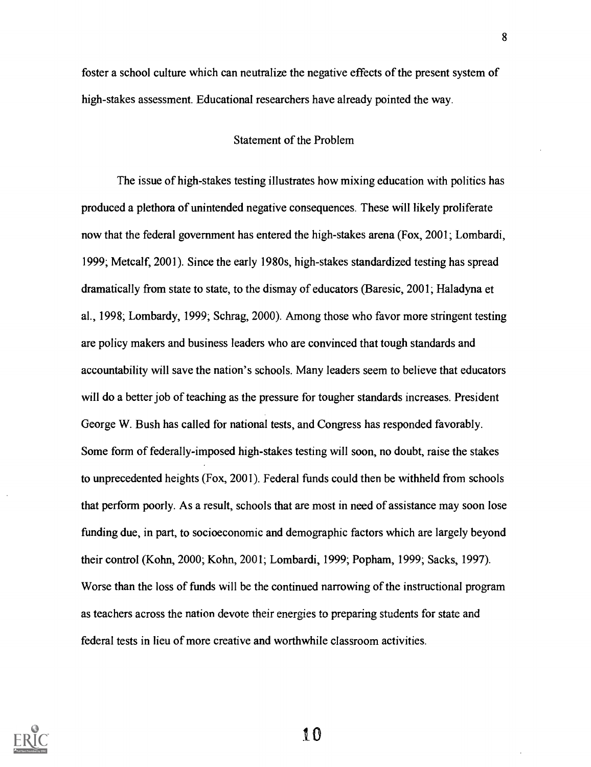foster a school culture which can neutralize the negative effects of the present system of high-stakes assessment. Educational researchers have already pointed the way.

### Statement of the Problem

The issue of high-stakes testing illustrates how mixing education with politics has produced a plethora of unintended negative consequences. These will likely proliferate now that the federal government has entered the high-stakes arena (Fox, 2001; Lombardi, 1999; Metcalf, 2001). Since the early 1980s, high-stakes standardized testing has spread dramatically from state to state, to the dismay of educators (Baresic, 2001; Haladyna et al., 1998; Lombardy, 1999; Schrag, 2000). Among those who favor more stringent testing are policy makers and business leaders who are convinced that tough standards and accountability will save the nation's schools. Many leaders seem to believe that educators will do a better job of teaching as the pressure for tougher standards increases. President George W. Bush has called for national tests, and Congress has responded favorably. Some form of federally-imposed high-stakes testing will soon, no doubt, raise the stakes to unprecedented heights (Fox, 2001). Federal funds could then be withheld from schools that perform poorly. As a result, schools that are most in need of assistance may soon lose funding due, in part, to socioeconomic and demographic factors which are largely beyond their control (Kohn, 2000; Kohn, 2001; Lombardi, 1999; Popham, 1999; Sacks, 1997). Worse than the loss of funds will be the continued narrowing of the instructional program as teachers across the nation devote their energies to preparing students for state and federal tests in lieu of more creative and worthwhile classroom activities.



to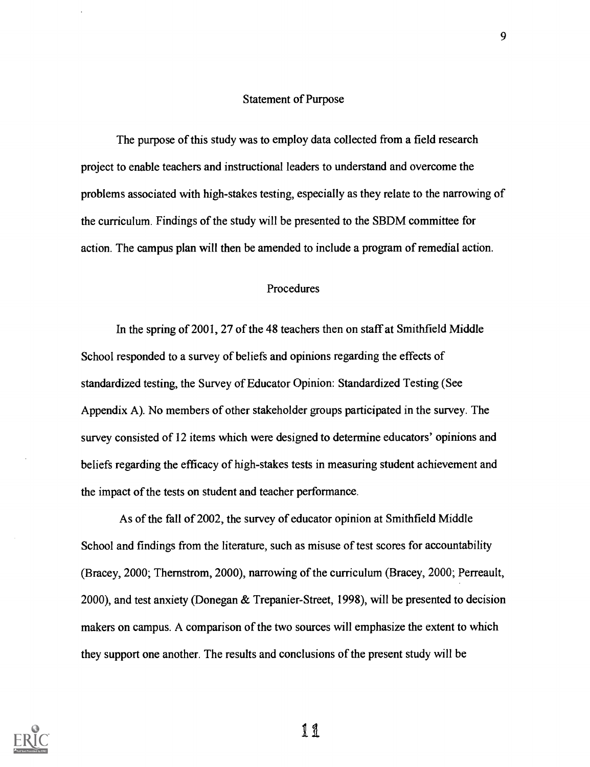### Statement of Purpose

The purpose of this study was to employ data collected from a field research project to enable teachers and instructional leaders to understand and overcome the problems associated with high-stakes testing, especially as they relate to the narrowing of the curriculum. Findings of the study will be presented to the SBDM committee for action. The campus plan will then be amended to include a program of remedial action.

### Procedures

In the spring of 2001, 27 of the 48 teachers then on staff at Smithfield Middle School responded to a survey of beliefs and opinions regarding the effects of standardized testing, the Survey of Educator Opinion: Standardized Testing (See Appendix A). No members of other stakeholder groups participated in the survey. The survey consisted of 12 items which were designed to determine educators' opinions and beliefs regarding the efficacy of high-stakes tests in measuring student achievement and the impact of the tests on student and teacher performance.

As of the fall of 2002, the survey of educator opinion at Smithfield Middle School and findings from the literature, such as misuse of test scores for accountability (Bracey, 2000; Thernstrom, 2000), narrowing of the curriculum (Bracey, 2000; Perreault, 2000), and test anxiety (Donegan & Trepanier-Street, 1998), will be presented to decision makers on campus. A comparison of the two sources will emphasize the extent to which they support one another. The results and conclusions of the present study will be

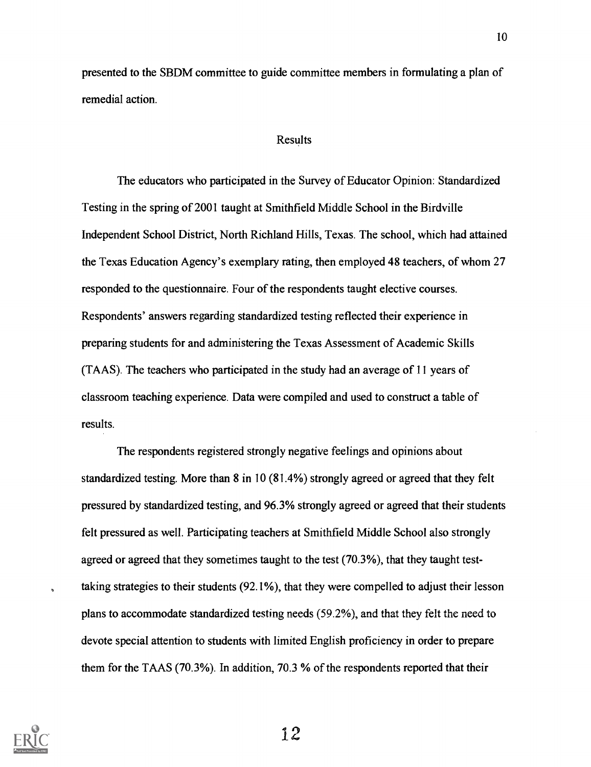presented to the SBDM committee to guide committee members in formulating a plan of remedial action.

#### Results

The educators who participated in the Survey of Educator Opinion: Standardized Testing in the spring of 2001 taught at Smithfield Middle School in the Birdville Independent School District, North Richland Hills, Texas. The school, which had attained the Texas Education Agency's exemplary rating, then employed 48 teachers, of whom 27 responded to the questionnaire. Four of the respondents taught elective courses. Respondents' answers regarding standardized testing reflected their experience in preparing students for and administering the Texas Assessment of Academic Skills (TAAS). The teachers who participated in the study had an average of 11 years of classroom teaching experience. Data were compiled and used to construct a table of results.

The respondents registered strongly negative feelings and opinions about standardized testing. More than 8 in 10 (81.4%) strongly agreed or agreed that they felt pressured by standardized testing, and 96.3% strongly agreed or agreed that their students felt pressured as well. Participating teachers at Smithfield Middle School also strongly agreed or agreed that they sometimes taught to the test (70.3%), that they taught testtaking strategies to their students (92.1%), that they were compelled to adjust their lesson plans to accommodate standardized testing needs (59.2%), and that they felt the need to devote special attention to students with limited English proficiency in order to prepare them for the TAAS (70.3%). In addition, 70.3 % of the respondents reported that their



 $\overline{a}$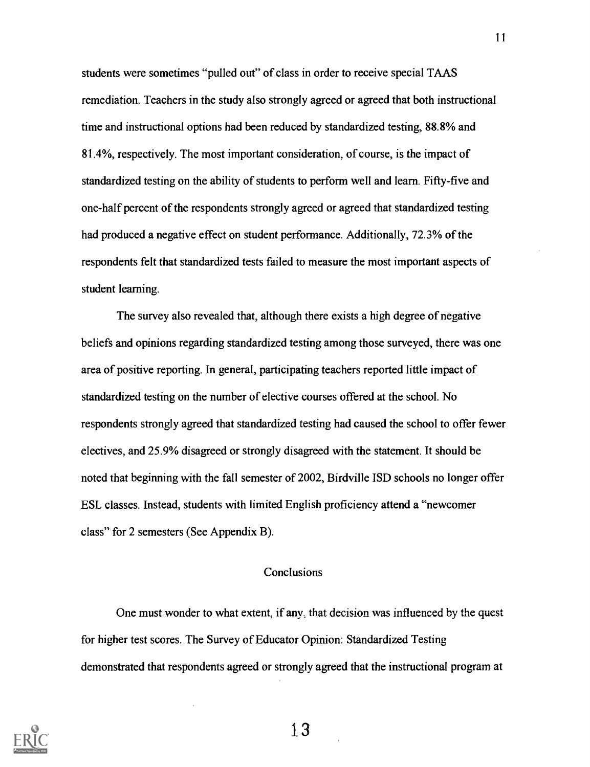students were sometimes "pulled out" of class in order to receive special TAAS remediation. Teachers in the study also strongly agreed or agreed that both instructional time and instructional options had been reduced by standardized testing, 88.8% and 81.4%, respectively. The most important consideration, of course, is the impact of standardized testing on the ability of students to perform well and learn. Fifty-five and one-half percent of the respondents strongly agreed or agreed that standardized testing had produced a negative effect on student performance. Additionally, 72.3% of the respondents felt that standardized tests failed to measure the most important aspects of student learning.

The survey also revealed that, although there exists a high degree of negative beliefs and opinions regarding standardized testing among those surveyed, there was one area of positive reporting. In general, participating teachers reported little impact of standardized testing on the number of elective courses offered at the school. No respondents strongly agreed that standardized testing had caused the school to offer fewer electives, and 25.9% disagreed or strongly disagreed with the statement. It should be noted that beginning with the fall semester of 2002, Birdville ISD schools no longer offer ESL classes. Instead, students with limited English proficiency attend a "newcomer class" for 2 semesters (See Appendix B).

### **Conclusions**

One must wonder to what extent, if any; that decision was influenced by the quest for higher test scores. The Survey of Educator Opinion: Standardized Testing demonstrated that respondents agreed or strongly agreed that the instructional program at



1.3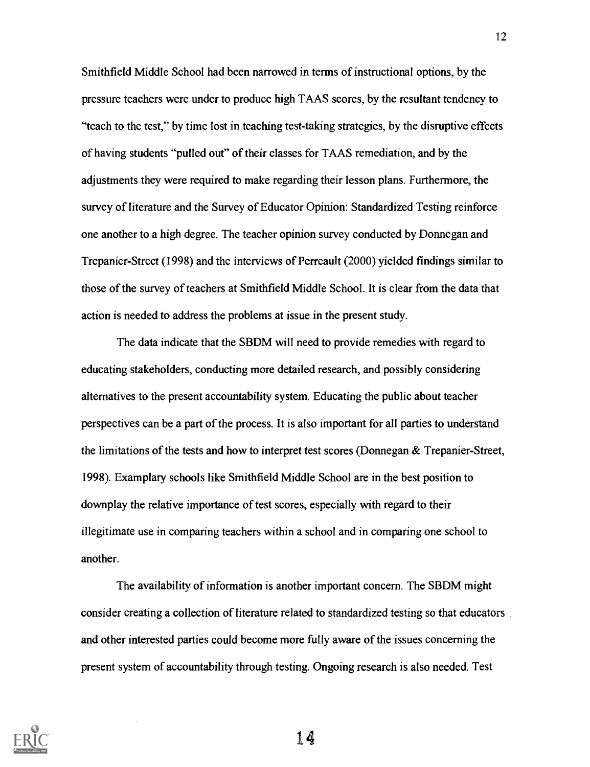Smithfield Middle School had been narrowed in terms of instructional options, by the pressure teachers were under to produce high TAAS scores, by the resultant tendency to "teach to the test," by time lost in teaching test-taking strategies, by the disruptive effects of having students "pulled out" of their classes for TAAS remediation, and by the adjustments they were required to make regarding their lesson plans. Furthermore, the survey of literature and the Survey of Educator Opinion: Standardized Testing reinforce one another to a high degree. The teacher opinion survey conducted by Donnegan and Trepanier-Street (1998) and the interviews of Perreault (2000) yielded findings similar to those of the survey of teachers at Smithfield Middle School. It is clear from the data that action is needed to address the problems at issue in the present study.

The data indicate that the SBDM will need to provide remedies with regard to educating stakeholders, conducting more detailed research, and possibly considering alternatives to the present accountability system. Educating the public about teacher perspectives can be a part of the process. It is also important for all parties to understand the limitations of the tests and how to interpret test scores (Donnegan & Trepanier-Street, 1998). Examplary schools like Smithfield Middle School are in the best position to downplay the relative importance of test scores, especially with regard to their illegitimate use in comparing teachers within a school and in comparing one school to another.

The availability of information is another important concern. The SBDM might consider creating a collection of literature related to standardized testing so that educators and other interested parties could become more fully aware of the issues concerning the present system of accountability through testing. Ongoing research is also needed. Test

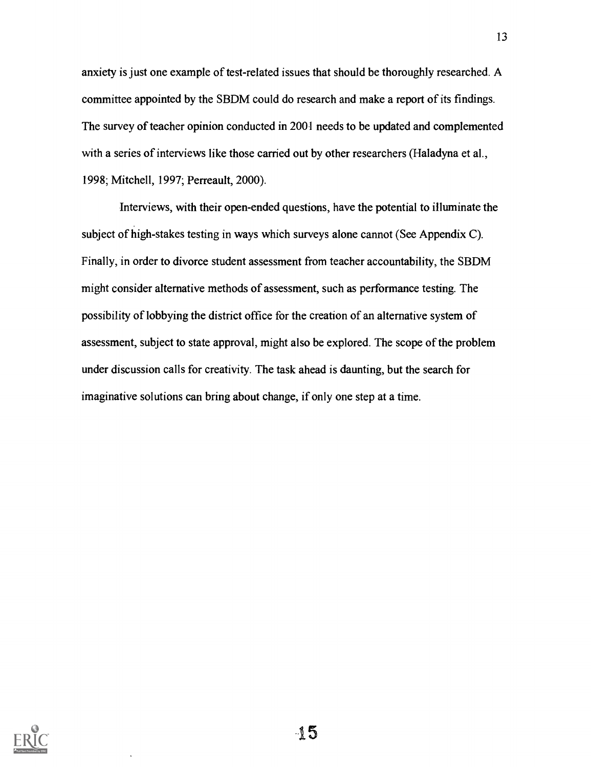anxiety is just one example of test-related issues that should be thoroughly researched. A committee appointed by the SBDM could do research and make a report of its findings. The survey of teacher opinion conducted in 2001 needs to be updated and complemented with a series of interviews like those carried out by other researchers (Haladyna et al., 1998; Mitchell, 1997; Perreault, 2000).

Interviews, with their open-ended questions, have the potential to illuminate the subject of high-stakes testing in ways which surveys alone cannot (See Appendix C). Finally, in order to divorce student assessment from teacher accountability, the SBDM might consider alternative methods of assessment, such as performance testing. The possibility of lobbying the district office for the creation of an alternative system of assessment, subject to state approval, might also be explored. The scope of the problem under discussion calls for creativity. The task ahead is daunting, but the search for imaginative solutions can bring about change, if only one step at a time.

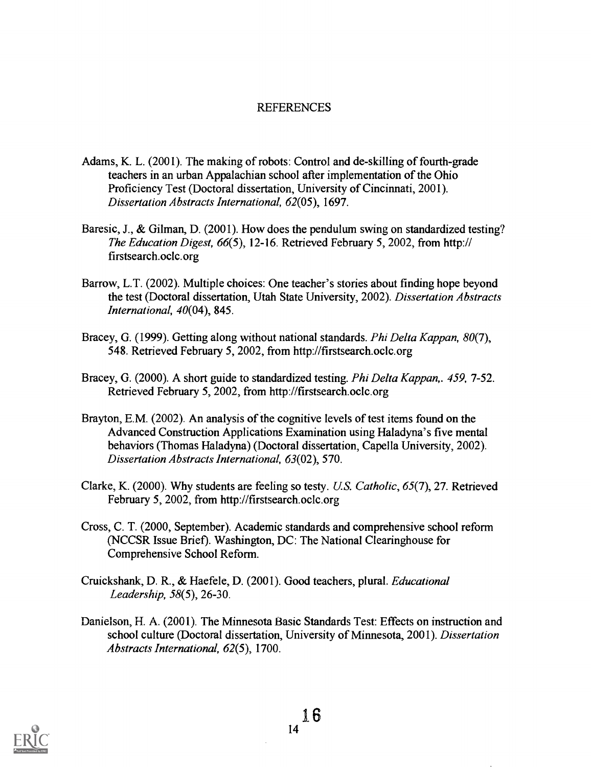### **REFERENCES**

- Adams, K. L. (2001). The making of robots: Control and de-skilling of fourth-grade teachers in an urban Appalachian school after implementation of the Ohio Proficiency Test (Doctoral dissertation, University of Cincinnati, 2001). Dissertation Abstracts International, 62(05), 1697.
- Baresic, J., & Gilman, D. (2001). How does the pendulum swing on standardized testing? The Education Digest, 66(5), 12-16. Retrieved February 5, 2002, from http:// firstsearch.ocic.org
- Barrow, L.T. (2002). Multiple choices: One teacher's stories about finding hope beyond the test (Doctoral dissertation, Utah State University, 2002). Dissertation Abstracts International, 40(04), 845.
- Bracey, G. (1999). Getting along without national standards. *Phi Delta Kappan*, 80(7), 548. Retrieved February 5, 2002, from http://firstsearch.ocic.org
- Bracey, G. (2000). A short guide to standardized testing. *Phi Delta Kappan*,. 459, 7-52. Retrieved February 5, 2002, from http://firstsearch.ocic.org
- Brayton, E.M. (2002). An analysis of the cognitive levels of test items found on the Advanced Construction Applications Examination using Haladyna's five mental behaviors (Thomas Haladyna) (Doctoral dissertation, Capella University, 2002). Dissertation Abstracts International, 63(02), 570.
- Clarke, K. (2000). Why students are feeling so testy. U.S. Catholic, 65(7), 27. Retrieved February 5, 2002, from http://firstsearch.ocic.org
- Cross, C. T. (2000, September). Academic standards and comprehensive school reform (NCCSR Issue Brief). Washington, DC: The National Clearinghouse for Comprehensive School Reform.
- Cruickshank, D. R., & Haefele, D. (2001). Good teachers, plural. Educational Leadership, 58(5), 26-30.
- Danielson, H. A. (2001). The Minnesota Basic Standards Test: Effects on instruction and school culture (Doctoral dissertation, University of Minnesota, 2001). Dissertation Abstracts International, 62(5), 1700.

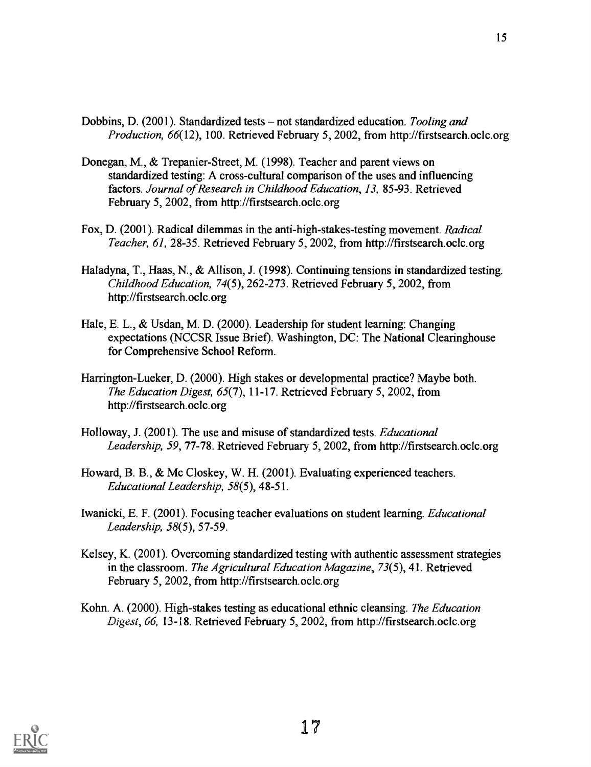- Dobbins, D. (2001). Standardized tests not standardized education. Tooling and Production, 66(12), 100. Retrieved February 5, 2002, from http://firstsearch.ocic.org
- Donegan, M., & Trepanier-Street, M. (1998). Teacher and parent views on standardized testing: A cross-cultural comparison of the uses and influencing factors. Journal of Research in Childhood Education, 13, 85-93. Retrieved February 5, 2002, from http://firstsearch.ocic.org
- Fox, D. (2001). Radical dilemmas in the anti-high-stakes-testing movement. Radical Teacher, 61, 28-35. Retrieved February 5, 2002, from http://firstsearch.ocic.org
- Haladyna, T., Haas, N., & Allison, J. (1998). Continuing tensions in standardized testing. Childhood Education, 74(5), 262-273. Retrieved February 5, 2002, from http://firstsearch.ocic.org
- Hale, E. L., & Usdan, M. D. (2000). Leadership for student learning: Changing expectations (NCCSR Issue Brief). Washington, DC: The National Clearinghouse for Comprehensive School Reform.
- Harrington-Lueker, D. (2000). High stakes or developmental practice? Maybe both. The Education Digest, 65(7), 11-17. Retrieved February 5, 2002, from http://firstsearch.ocic.org
- Holloway, J. (2001). The use and misuse of standardized tests. Educational Leadership, 59, 77-78. Retrieved February 5, 2002, from http://firstsearch.ocic.org
- Howard, B. B., & Mc Closkey, W. H. (2001). Evaluating experienced teachers. Educational Leadership, 58(5), 48-51.
- Iwanicki, E. F. (2001). Focusing teacher evaluations on student learning. Educational Leadership, 58(5), 57-59.
- Kelsey, K. (2001). Overcoming standardized testing with authentic assessment strategies in the classroom. The Agricultural Education Magazine, 73(5), 41. Retrieved February 5, 2002, from http://firstsearch.ocic.org
- Kohn. A. (2000). High-stakes testing as educational ethnic cleansing. The Education Digest, 66, 13-18. Retrieved February 5, 2002, from http://firstsearch.ocic.org

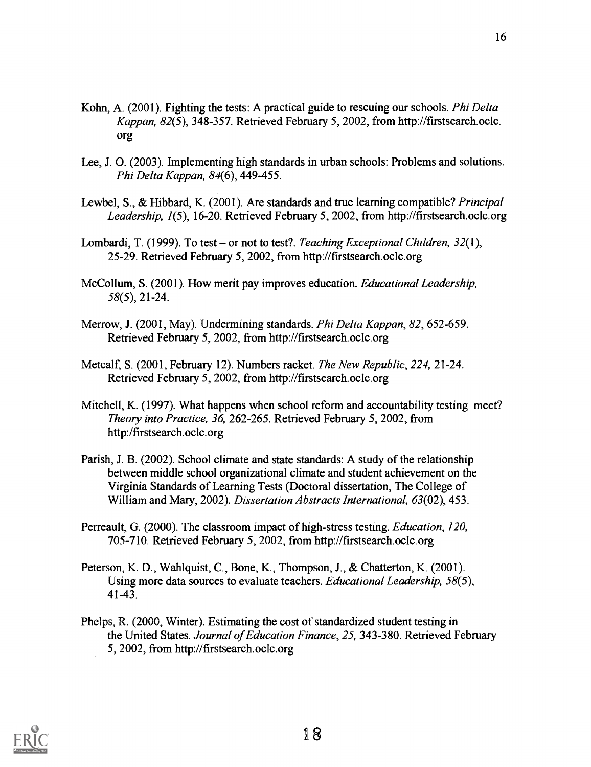- Kohn, A. (2001). Fighting the tests: A practical guide to rescuing our schools. Phi Delta Kappan, 82(5), 348-357. Retrieved February 5, 2002, from http://firstsearch.ocic. org
- Lee, J. 0. (2003). Implementing high standards in urban schools: Problems and solutions. Phi Delta Kappan, 84(6), 449-455.
- Lewbel, S., & Hibbard, K. (2001). Are standards and true learning compatible? Principal Leadership, 1(5), 16-20. Retrieved February 5, 2002, from http://firstsearch.ocic.org
- Lombardi, T. (1999). To test or not to test?. Teaching Exceptional Children,  $32(1)$ , 25-29. Retrieved February 5, 2002, from http://firstsearch.ocic.org
- McCollum, S. (2001). How merit pay improves education. *Educational Leadership*, 58(5), 21-24.
- Merrow, J. (2001, May). Undermining standards. Phi Delta Kappan, 82, 652-659. Retrieved February 5, 2002, from http://firstsearch.ocic.org
- Metcalf, S. (2001, February 12). Numbers racket. The New Republic, 224, 21-24. Retrieved February 5, 2002, from http://firstsearch.ocic.org
- Mitchell, K. (1997). What happens when school reform and accountability testing meet? Theory into Practice, 36, 262-265. Retrieved February 5, 2002, from http:/firstsearch.ocic.org
- Parish, J. B. (2002). School climate and state standards: A study of the relationship between middle school organizational climate and student achievement on the Virginia Standards of Learning Tests (Doctoral dissertation, The College of William and Mary, 2002). Dissertation Abstracts International, 63(02), 453.
- Perreault, G. (2000). The classroom impact of high-stress testing. *Education*, 120, 705-710. Retrieved February 5, 2002, from http://firstsearch.ocic.org
- Peterson, K. D., Wahlquist, C., Bone, K., Thompson, J., & Chatterton, K. (2001). Using more data sources to evaluate teachers. Educational Leadership, 58(5), 41-43.
- Phelps, R. (2000, Winter). Estimating the cost of standardized student testing in the United States. Journal of Education Finance, 25, 343-380. Retrieved February 5, 2002, from http://firstsearch.ocic.org

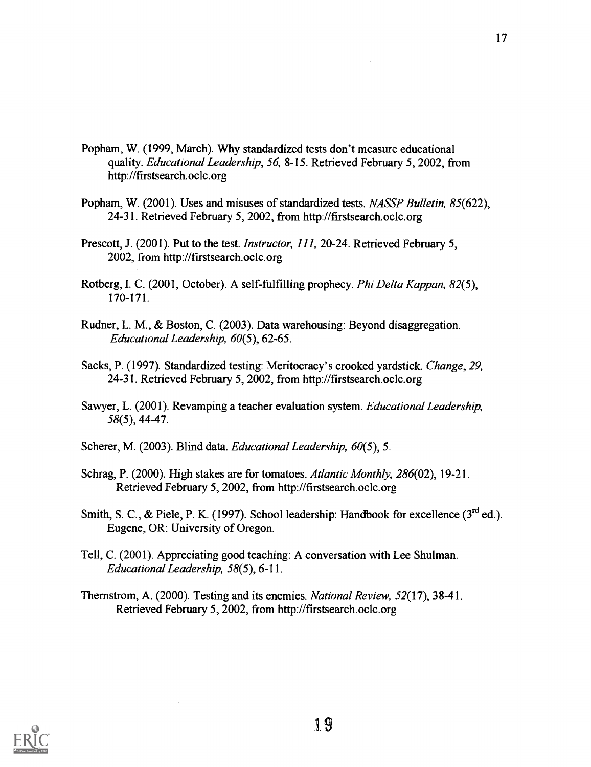- Popham, W. (1999, March). Why standardized tests don't measure educational quality. Educational Leadership, 56, 8-15. Retrieved February 5, 2002, from http://firstsearch.ocic.org
- Popham, W. (2001). Uses and misuses of standardized tests. NASSP Bulletin, 85(622), 24-31. Retrieved February 5, 2002, from http://firstsearch.ocic.org
- Prescott, J. (2001). Put to the test. Instructor, 111, 20-24. Retrieved February 5, 2002, from http://firstsearch.ocic.org
- Rotberg, I. C. (2001, October). A self-fulfilling prophecy. Phi Delta Kappan, 82(5), 170-171.
- Rudner, L. M., & Boston, C. (2003). Data warehousing: Beyond disaggregation. Educational Leadership, 60(5), 62-65.
- Sacks, P. (1997). Standardized testing: Meritocracy's crooked yardstick. Change, 29, 24-31. Retrieved February 5, 2002, from http://firstsearch.ocic.org
- Sawyer, L. (2001). Revamping a teacher evaluation system. Educational Leadership, 58(5), 44-47.
- Scherer, M. (2003). Blind data. Educational Leadership, 60(5), 5.
- Schrag, P. (2000). High stakes are for tomatoes. Atlantic Monthly, 286(02), 19-21. Retrieved February 5, 2002, from http://firstsearch.ocic.org
- Smith, S. C., & Piele, P. K. (1997). School leadership: Handbook for excellence (3rd ed.). Eugene, OR: University of Oregon.
- Tell, C. (2001). Appreciating good teaching: A conversation with Lee Shulman. Educational Leadership, 58(5), 6-11.
- Thernstrom, A. (2000). Testing and its enemies. National Review, 52(17), 38-41. Retrieved February 5, 2002, from http://firstsearch.ocic.org

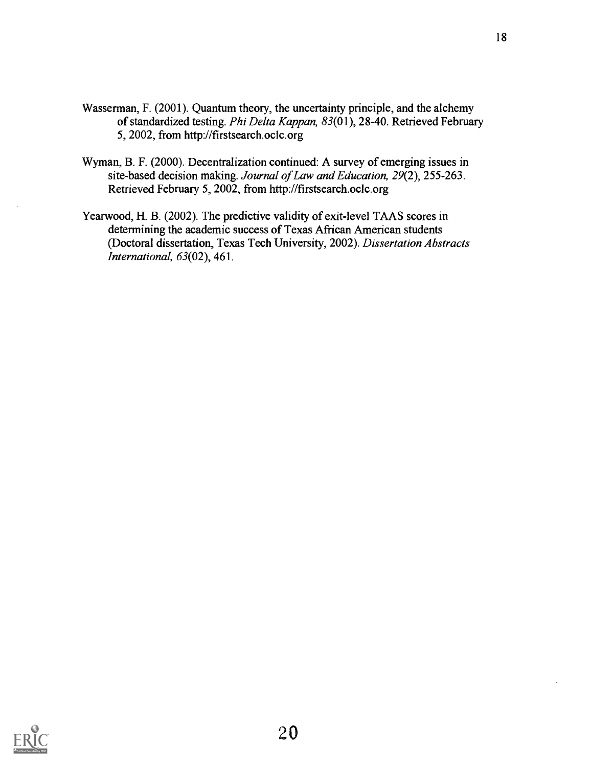- Wasserman, F. (2001). Quantum theory, the uncertainty principle, and the alchemy of standardized testing. Phi Delta Kappan, 83(01), 28-40. Retrieved February 5, 2002, from http://firstsearch.ocic.org
- Wyman, B. F. (2000). Decentralization continued: A survey of emerging issues in site-based decision making. Journal of Law and Education, 29(2), 255-263. Retrieved February 5, 2002, from http://firstsearch.ocic.org
- Yearwood, H. B. (2002). The predictive validity of exit-level TAAS scores in determining the academic success of Texas African American students (Doctoral dissertation, Texas Tech University, 2002). Dissertation Abstracts International, 63(02), 461.

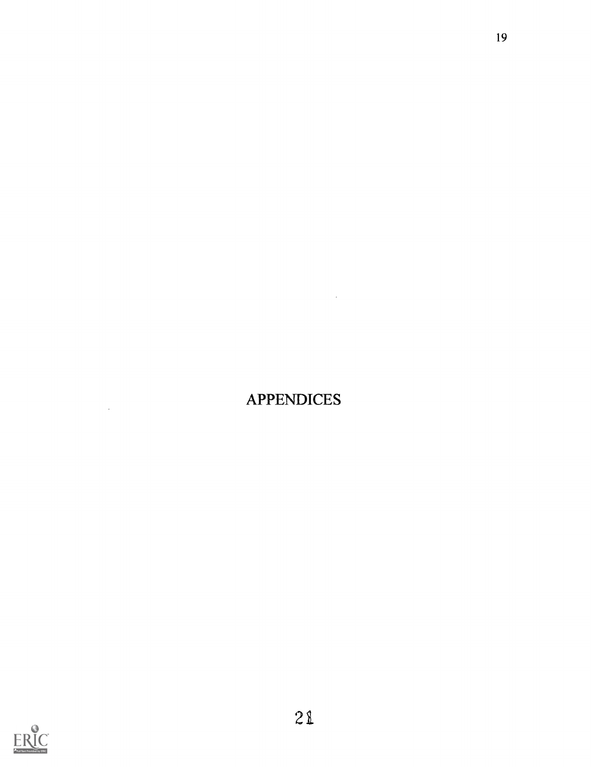## APPENDICES

 $\mathcal{L}_{\text{max}}$  .



 $\sim 10^7$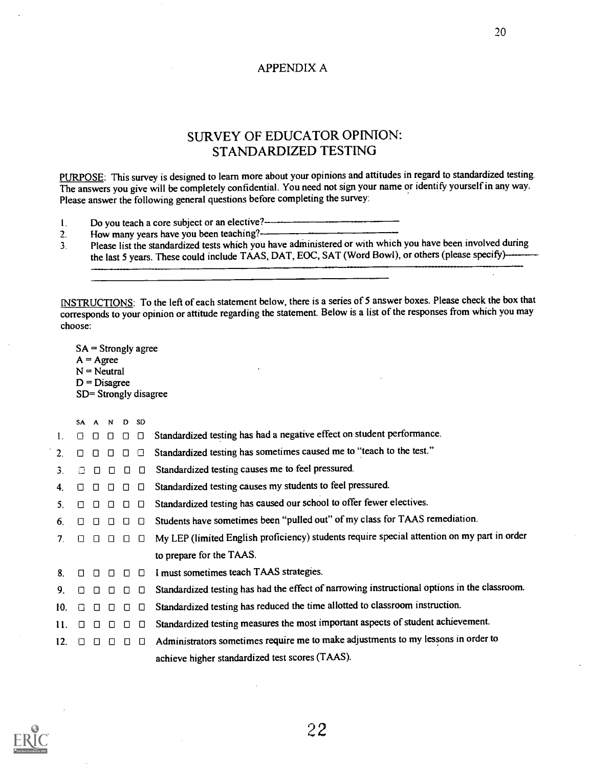### APPENDIX A

### SURVEY OF EDUCATOR OPINION: STANDARDIZED TESTING

PURPOSE: This survey is designed to learn more about your opinions and attitudes in regard to standardized testing. The answers you give will be completely confidential. You need not sign your name or identify yourself in any way. Please answer the following general questions before completing the survey:

- I. Do you teach a core subject or an elective?
- 
- 2. How many years have you been teaching?<br>3. Please list the standardized tests which you have administered or with Please list the standardized tests which you have administered or with which you have been involved during the last 5 years. These could include TAAS, DAT, EOC, SAT (Word Bowl), or others (please specify)-

INSTRUCTIONS: To the left of each statement below, there is a series of 5 answer boxes. Please check the box that corresponds to your opinion or attitude regarding the statement. Below is a list of the responses from which you may choose:

SA = Strongly agree  $A = \text{Agree}$  $N =$  Neutral  $D = Disagree$ SD= Strongly disagree

|     | <b>SA</b> |        | A N D SD |        |               |                                                                                              |
|-----|-----------|--------|----------|--------|---------------|----------------------------------------------------------------------------------------------|
| 1.  | Л         | П      | $\Box$   | □      | $\Box$        | Standardized testing has had a negative effect on student performance.                       |
| 2.  | П         | $\Box$ | П        | $\Box$ | ◘             | Standardized testing has sometimes caused me to "teach to the test."                         |
| 3.  |           | $\Box$ | $\Box$   | $\Box$ | $\Box$        | Standardized testing causes me to feel pressured.                                            |
| 4.  | П         | n.     |          | $\Box$ | $\Box$        | Standardized testing causes my students to feel pressured.                                   |
| 5.  | П         | $\Box$ | $\Box$   | $\Box$ | $\Box$        | Standardized testing has caused our school to offer fewer electives.                         |
| 6.  |           |        |          | Ο      | □             | Students have sometimes been "pulled out" of my class for TAAS remediation.                  |
| 7.  | $\Box$    | $\Box$ | $\Box$   |        | $\Box$ $\Box$ | My LEP (limited English proficiency) students require special attention on my part in order  |
|     |           |        |          |        |               | to prepare for the TAAS.                                                                     |
| 8.  |           |        |          | $\Box$ | □             | I must sometimes teach TAAS strategies.                                                      |
| 9.  | $\Box$    | $\Box$ | $\Box$   | $\Box$ | $\Box$        | Standardized testing has had the effect of narrowing instructional options in the classroom. |
| 10. | O         | $\Box$ | $\Box$   | $\Box$ | $\Box$        | Standardized testing has reduced the time allotted to classroom instruction.                 |
| 11. | $\Box$    |        |          | П      | $\Box$        | Standardized testing measures the most important aspects of student achievement.             |
| 12. | П         | n.     | $\Box$   | $\Box$ | $\Box$        | Administrators sometimes require me to make adjustments to my lessons in order to            |
|     |           |        |          |        |               | achieve higher standardized test scores (TAAS).                                              |
|     |           |        |          |        |               |                                                                                              |

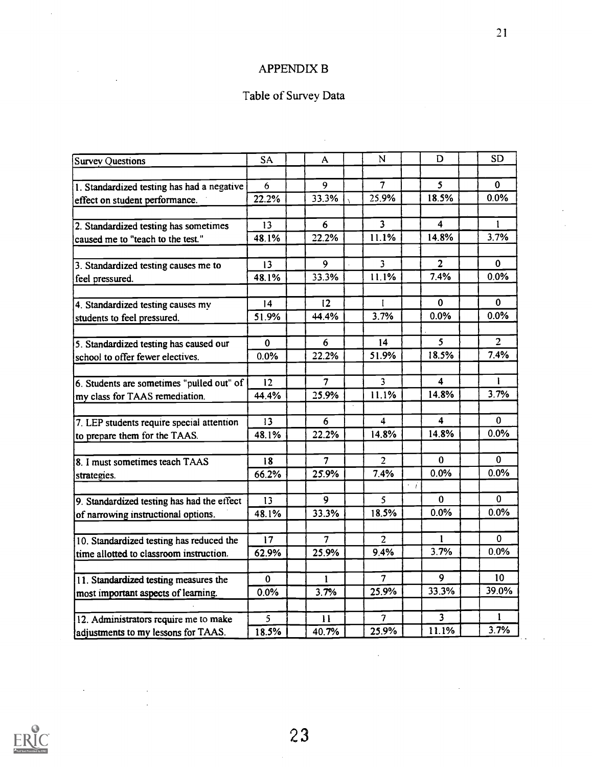### APPENDIX B

## Table of Survey Data

 $\hat{\mathcal{A}}$ 

| <b>Survey Questions</b>                    | <b>SA</b>       | A               | N                        | D                       | <b>SD</b>       |
|--------------------------------------------|-----------------|-----------------|--------------------------|-------------------------|-----------------|
|                                            |                 |                 |                          |                         |                 |
| 1. Standardized testing has had a negative | 6               | 9               | $\overline{7}$           | 5 <sup>5</sup>          | $\mathbf{0}$    |
| effect on student performance.             | 22.2%           | 33.3%           | 25.9%                    | 18.5%                   | 0.0%            |
|                                            |                 |                 |                          |                         |                 |
| 2. Standardized testing has sometimes      | 13              | 6               | $\overline{\mathbf{3}}$  | 4                       | 1               |
| caused me to "teach to the test."          | 48.1%           | 22.2%           | 11.1%                    | 14.8%                   | 3.7%            |
|                                            |                 |                 |                          |                         |                 |
| 3. Standardized testing causes me to       | 13              | 9               | 3                        | 2 <sup>1</sup>          | 0               |
| feel pressured.                            | 48.1%           | 33.3%           | 11.1%                    | 7.4%                    | 0.0%            |
|                                            |                 |                 |                          |                         |                 |
| 4. Standardized testing causes my          | 4               | 12 <sup>2</sup> | L                        | $\Omega$                | 0               |
| students to feel pressured.                | 51.9%           | 44.4%           | 3.7%                     | 0.0%                    | 0.0%            |
|                                            |                 |                 |                          |                         |                 |
| 5. Standardized testing has caused our     | $\mathbf{0}$    | 6               | 14                       | 5 <sup>1</sup>          | $\overline{2}$  |
| school to offer fewer electives.           | 0.0%            | 22.2%           | 51.9%                    | 18.5%                   | 7.4%            |
|                                            |                 |                 |                          |                         |                 |
| 6. Students are sometimes "pulled out" of  | 12 <sup>2</sup> | $\overline{7}$  | 3                        | 4                       | T.              |
| my class for TAAS remediation.             | 44.4%           | 25.9%           | 11.1%                    | 14.8%                   | 3.7%            |
|                                            |                 |                 |                          |                         |                 |
| 7. LEP students require special attention  | 13              | 6               | 4                        | 4                       | 0               |
| to prepare them for the TAAS.              | 48.1%           | 22.2%           | 14.8%                    | 14.8%                   | 0.0%            |
|                                            |                 |                 |                          |                         |                 |
| 8. I must sometimes teach TAAS             | 18              | $\overline{7}$  | $\overline{2}$           | $\Omega$                | 0               |
| strategies.                                | 66.2%           | 25.9%           | 7.4%                     | 0.0%                    | $0.0\%$         |
|                                            |                 |                 |                          | $\cdot$ i               |                 |
| 9. Standardized testing has had the effect | 13              | $\overline{9}$  | 5                        | $\Omega$                | 0               |
| of narrowing instructional options.        | 48.1%           | 33.3%           | 18.5%                    | 0.0%                    | 0.0%            |
|                                            |                 |                 |                          |                         |                 |
| 10. Standardized testing has reduced the   | 17              | 7               | $\overline{2}$           | $\mathbf{1}$            | $\mathbf{0}$    |
| time allotted to classroom instruction.    | 62.9%           | 25.9%           | 9.4%                     | 3.7%                    | 0.0%            |
|                                            |                 |                 |                          |                         |                 |
| 11. Standardized testing measures the      | 0               | 1               | $\overline{7}$           | 9                       | 10 <sup>°</sup> |
| most important aspects of learning.        | $0.0\%$         | 3.7%            | 25.9%                    | 33.3%                   | 39.0%           |
|                                            |                 |                 |                          |                         |                 |
| 12. Administrators require me to make      | 5               | $\mathbf{11}$   | $\overline{\mathcal{L}}$ | $\overline{\mathbf{3}}$ | 1               |
| adjustments to my lessons for TAAS.        | 18.5%           | 40.7%           | 25.9%                    | 11.1%                   | 3.7%            |
|                                            |                 |                 |                          |                         |                 |



 $\mathcal{L}(\mathcal{A})$  and  $\mathcal{L}(\mathcal{A})$ 

 $\sim$   $\sim$ 

 $\bar{\beta}$ 

 $\label{eq:2.1} \frac{1}{\sqrt{2}}\sum_{i=1}^n\frac{1}{\sqrt{2\pi}}\sum_{i=1}^n\frac{1}{\sqrt{2\pi}}\sum_{i=1}^n\frac{1}{\sqrt{2\pi}}\sum_{i=1}^n\frac{1}{\sqrt{2\pi}}\sum_{i=1}^n\frac{1}{\sqrt{2\pi}}\sum_{i=1}^n\frac{1}{\sqrt{2\pi}}\sum_{i=1}^n\frac{1}{\sqrt{2\pi}}\sum_{i=1}^n\frac{1}{\sqrt{2\pi}}\sum_{i=1}^n\frac{1}{\sqrt{2\pi}}\sum_{i=1}^n\frac{$ 

 $\hat{\mathcal{A}}$ 

 $\sim 10^{-10}$ 

 $\overline{a}$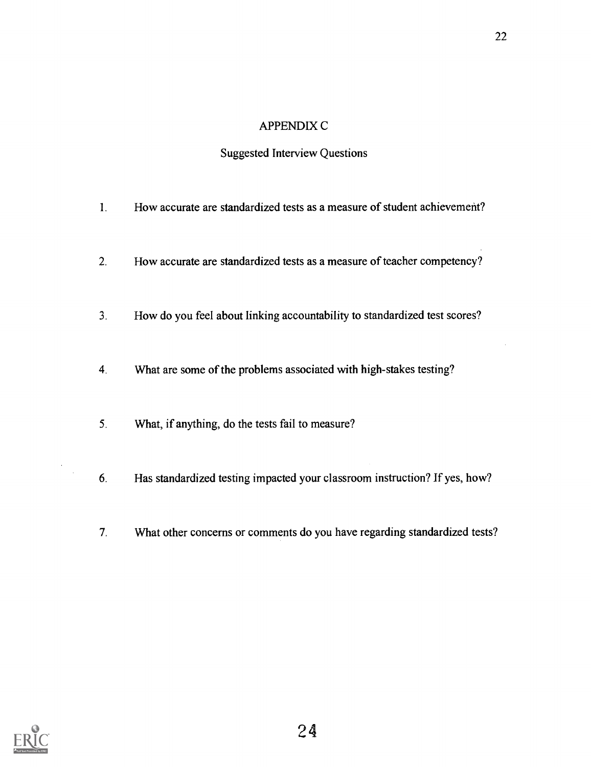### APPENDIX C

### Suggested Interview Questions

- 1. How accurate are standardized tests as a measure of student achievement?
- 2. How accurate are standardized tests as a measure of teacher competency?
- 3. How do you feel about linking accountability to standardized test scores?
- 4. What are some of the problems associated with high-stakes testing?
- 5. What, if anything, do the tests fail to measure?
- 6. Has standardized testing impacted your classroom instruction? If yes, how?
- 7 What other concerns or comments do you have regarding standardized tests?



 $\bar{z}$